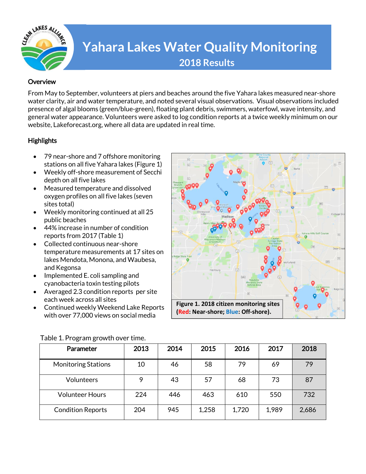

# **Yahara Lakes Water Quality Monitoring 2018 Results**

### **Overview**

From May to September, volunteers at piers and beaches around the five Yahara lakes measured near-shore water clarity, air and water temperature, and noted several visual observations. Visual observations included presence of algal blooms (green/blue-green), floating plant debris, swimmers, waterfowl, wave intensity, and general water appearance. Volunteers were asked to log condition reports at a twice weekly minimum on our website, Lakeforecast.org, where all data are updated in real time.

# **Highlights**

- 79 near-shore and 7 offshore monitoring stations on all five Yahara lakes (Figure 1)
- Weekly off-shore measurement of Secchi depth on all five lakes
- Measured temperature and dissolved oxygen profiles on all five lakes (seven sites total)
- Weekly monitoring continued at all 25 public beaches
- 44% increase in number of condition reports from 2017 (Table 1)
- Collected continuous near-shore temperature measurements at 17 sites on lakes Mendota, Monona, and Waubesa, and Kegonsa
- Implemented E. coli sampling and cyanobacteria toxin testing pilots
- Averaged 2.3 condition reports per site each week across all sites
- Continued weekly Weekend Lake Reports with over 77,000 views on social media



| ້<br>Parameter             | 2013 | 2014 | 2015  | 2016  | 2017  | 2018  |
|----------------------------|------|------|-------|-------|-------|-------|
| <b>Monitoring Stations</b> | 10   | 46   | 58    | 79    | 69    | 79    |
| Volunteers                 | 9    | 43   | 57    | 68    | 73    | 87    |
| <b>Volunteer Hours</b>     | 224  | 446  | 463   | 610   | 550   | 732   |
| <b>Condition Reports</b>   | 204  | 945  | 1,258 | 1,720 | 1,989 | 2,686 |

#### Table 1. Program growth over time.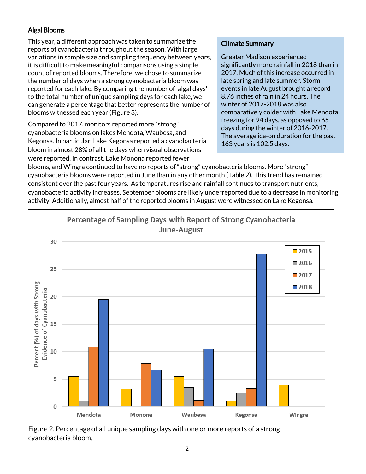# Algal Blooms

This year, a different approach was taken to summarize the reports of cyanobacteria throughout the season. With large variations in sample size and sampling frequency between years, it is difficult to make meaningful comparisons using a simple count of reported blooms. Therefore, we chose to summarize the number of days when a strong cyanobacteria bloom was reported for each lake. By comparing the number of 'algal days' to the total number of unique sampling days for each lake, we can generate a percentage that better represents the number of blooms witnessed each year (Figure 3).

Compared to 2017, monitors reported more "strong" cyanobacteria blooms on lakes Mendota, Waubesa, and Kegonsa. In particular, Lake Kegonsa reported a cyanobacteria bloom in almost 28% of all the days when visual observations were reported. In contrast, Lake Monona reported fewer

# Climate Summary

Greater Madison experienced significantly more rainfall in 2018 than in 2017. Much of this increase occurred in late spring and late summer. Storm events in late August brought a record 8.76 inches of rain in 24 hours. The winter of 2017-2018 was also comparatively colder with Lake Mendota freezing for 94 days, as opposed to 65 days during the winter of 2016-2017. The average ice-on duration for the past 163 years is 102.5 days.

blooms, and Wingra continued to have no reports of "strong" cyanobacteria blooms. More "strong" cyanobacteria blooms were reported in June than in any other month (Table 2). This trend has remained consistent over the past four years. As temperatures rise and rainfall continues to transport nutrients, cyanobacteria activity increases. September blooms are likely underreported due to a decrease in monitoring activity. Additionally, almost half of the reported blooms in August were witnessed on Lake Kegonsa.



Figure 2. Percentage of all unique sampling days with one or more reports of a strong cyanobacteria bloom.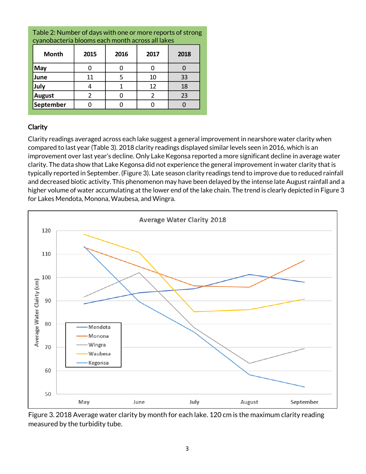| <b>Month</b>  | 2015 | 2016 | 2017 | 2018 |
|---------------|------|------|------|------|
| May           |      |      |      |      |
| June          | 11   |      | 10   | 33   |
| July          |      |      | 12   | 18   |
| <b>August</b> |      |      |      | 23   |
| September     |      |      |      |      |

Table 2: Number of days with one or more reports of strong cyanobacteria blooms each month across all lakes

# Clarity

Clarity readings averaged across each lake suggest a general improvement in nearshore water clarity when compared to last year (Table 3). 2018 clarity readings displayed similar levels seen in 2016, which is an improvement over last year's decline. Only Lake Kegonsa reported a more significant decline in average water clarity. The data show that Lake Kegonsa did not experience the general improvement in water clarity that is typically reported in September. (Figure 3). Late season clarity readings tend to improve due to reduced rainfall and decreased biotic activity. This phenomenon may have been delayed by the intense late August rainfall and a higher volume of water accumulating at the lower end of the lake chain. The trend is clearly depicted in Figure 3 for Lakes Mendota, Monona, Waubesa, and Wingra.



Figure 3. 2018 Average water clarity by month for each lake. 120 cm is the maximum clarity reading measured by the turbidity tube.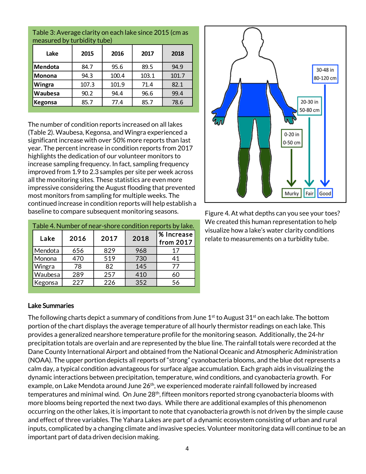| Lake           | 2015  | 2016  | 2017  | 2018  |
|----------------|-------|-------|-------|-------|
| Mendota        | 84.7  | 95.6  | 89.5  | 94.9  |
| <b>Monona</b>  | 94.3  | 100.4 | 103.1 | 101.7 |
| Wingra         | 107.3 | 101.9 | 71.4  | 82.1  |
| Waubesa        | 90.2  | 94.4  | 96.6  | 99.4  |
| <b>Kegonsa</b> | 85.7  | 77.4  | 85.7  | 78.6  |

Table 3: Average clarity on each lake since 2015 (cm as measured by turbidity tube)

The number of condition reports increased on all lakes (Table 2). Waubesa, Kegonsa, and Wingra experienced a significant increase with over 50% more reports than last year. The percent increase in condition reports from 2017 highlights the dedication of our volunteer monitors to increase sampling frequency. In fact, sampling frequency improved from 1.9 to 2.3 samples per site per week across all the monitoring sites. These statistics are even more impressive considering the August flooding that prevented most monitors from sampling for multiple weeks. The continued increase in condition reports will help establish a baseline to compare subsequent monitoring seasons.

| Table 4. Number of near-shore condition reports by lake. |      |      |      |                         |
|----------------------------------------------------------|------|------|------|-------------------------|
| Lake                                                     | 2016 | 2017 | 2018 | % Increase<br>from 2017 |
| Mendota                                                  | 656  | 829  | 968  | 17                      |
| Monona                                                   | 470  | 519  | 730  | 41                      |
| Wingra                                                   | 78   | 82   | 145  | 77                      |
| Waubesa                                                  | 289  | 257  | 410  | 60                      |
| Kegonsa                                                  | 227  | 226  | 352  | 56                      |



Figure 4. At what depths can you see your toes? We created this human representation to help visualize how a lake's water clarity conditions relate to measurements on a turbidity tube.

# Lake Summaries

The following charts depict a summary of conditions from June  $1<sup>st</sup>$  to August 31<sup>st</sup> on each lake. The bottom portion of the chart displays the average temperature of all hourly thermistor readings on each lake. This provides a generalized nearshore temperature profile for the monitoring season. Additionally, the 24-hr precipitation totals are overlain and are represented by the blue line. The rainfall totals were recorded at the Dane County International Airport and obtained from the National Oceanic and Atmospheric Administration (NOAA). The upper portion depicts all reports of "strong" cyanobacteria blooms, and the blue dot represents a calm day, a typical condition advantageous for surface algae accumulation. Each graph aids in visualizing the dynamic interactions between precipitation, temperature, wind conditions, and cyanobacteria growth. For example, on Lake Mendota around June 26<sup>th</sup>, we experienced moderate rainfall followed by increased temperatures and minimal wind. On June 28<sup>th</sup>, fifteen monitors reported strong cyanobacteria blooms with more blooms being reported the next two days. While there are additional examples of this phenomenon occurring on the other lakes, it is important to note that cyanobacteria growth is not driven by the simple cause and effect of three variables. The Yahara Lakes are part of a dynamic ecosystem consisting of urban and rural inputs, complicated by a changing climate and invasive species. Volunteer monitoring data will continue to be an important part of data driven decision making.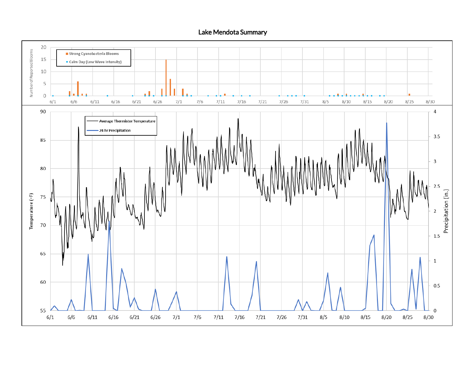Lake Mendota Summary

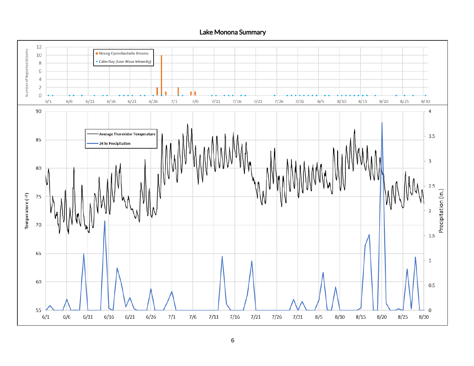Lake Monona Summary

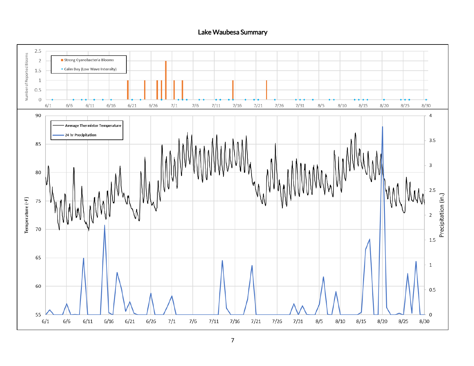### Lake Waubesa Summary

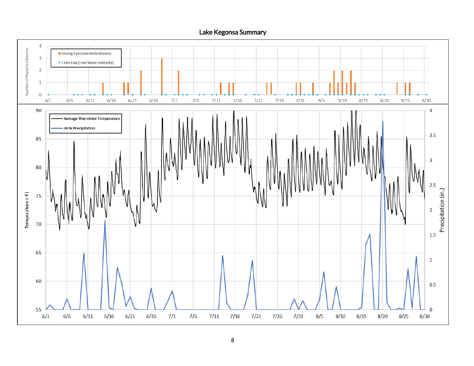Lake Kegonsa Summary